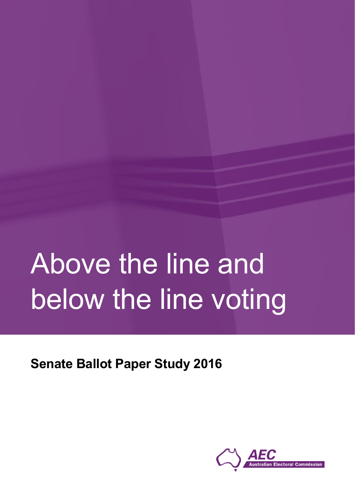# Above the line and below the line voting

**Senate Ballot Paper Study 2016**

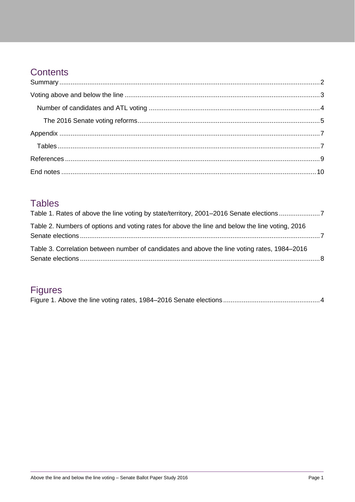## Contents

#### **Tables**

| Table 1. Rates of above the line voting by state/territory, 2001-2016 Senate elections7         |  |
|-------------------------------------------------------------------------------------------------|--|
| Table 2. Numbers of options and voting rates for above the line and below the line voting, 2016 |  |
| Table 3. Correlation between number of candidates and above the line voting rates, 1984–2016    |  |

## **Figures**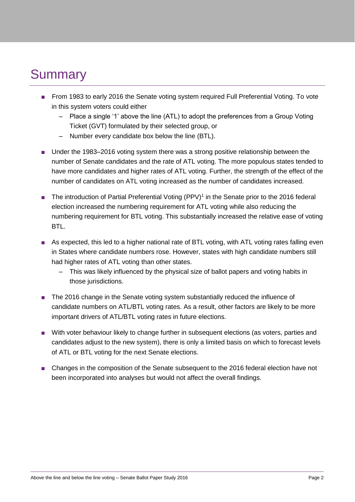# <span id="page-2-0"></span>**Summary**

- From 1983 to early 2016 the Senate voting system required Full Preferential Voting. To vote in this system voters could either
	- Place a single '1' above the line (ATL) to adopt the preferences from a Group Voting Ticket (GVT) formulated by their selected group, or
	- Number every candidate box below the line (BTL).
- Under the 1983–2016 voting system there was a strong positive relationship between the number of Senate candidates and the rate of ATL voting. The more populous states tended to have more candidates and higher rates of ATL voting. Further, the strength of the effect of the number of candidates on ATL voting increased as the number of candidates increased.
- The introduction of Partial Preferential Voting (PPV)<sup>1</sup> in the Senate prior to the 2016 federal election increased the numbering requirement for ATL voting while also reducing the numbering requirement for BTL voting. This substantially increased the relative ease of voting **BTL.**
- As expected, this led to a higher national rate of BTL voting, with ATL voting rates falling even in States where candidate numbers rose. However, states with high candidate numbers still had higher rates of ATL voting than other states.
	- This was likely influenced by the physical size of ballot papers and voting habits in those jurisdictions.
- The 2016 change in the Senate voting system substantially reduced the influence of candidate numbers on ATL/BTL voting rates. As a result, other factors are likely to be more important drivers of ATL/BTL voting rates in future elections.
- With voter behaviour likely to change further in subsequent elections (as voters, parties and candidates adjust to the new system), there is only a limited basis on which to forecast levels of ATL or BTL voting for the next Senate elections.
- Changes in the composition of the Senate subsequent to the 2016 federal election have not been incorporated into analyses but would not affect the overall findings.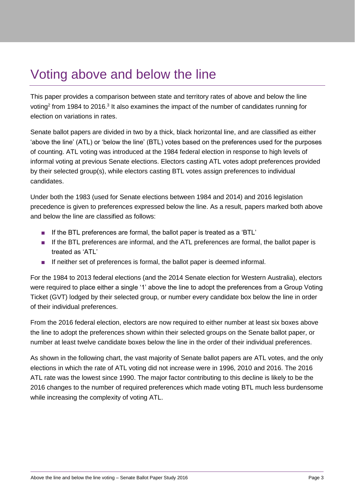# <span id="page-3-0"></span>Voting above and below the line

This paper provides a comparison between state and territory rates of above and below the line voting<sup>2</sup> from 1984 to 2016.<sup>3</sup> It also examines the impact of the number of candidates running for election on variations in rates.

Senate ballot papers are divided in two by a thick, black horizontal line, and are classified as either 'above the line' (ATL) or 'below the line' (BTL) votes based on the preferences used for the purposes of counting. ATL voting was introduced at the 1984 federal election in response to high levels of informal voting at previous Senate elections. Electors casting ATL votes adopt preferences provided by their selected group(s), while electors casting BTL votes assign preferences to individual candidates.

Under both the 1983 (used for Senate elections between 1984 and 2014) and 2016 legislation precedence is given to preferences expressed below the line. As a result, papers marked both above and below the line are classified as follows:

- If the BTL preferences are formal, the ballot paper is treated as a 'BTL'
- If the BTL preferences are informal, and the ATL preferences are formal, the ballot paper is treated as 'ATL'
- If neither set of preferences is formal, the ballot paper is deemed informal.

For the 1984 to 2013 federal elections (and the 2014 Senate election for Western Australia), electors were required to place either a single '1' above the line to adopt the preferences from a Group Voting Ticket (GVT) lodged by their selected group, or number every candidate box below the line in order of their individual preferences.

From the 2016 federal election, electors are now required to either number at least six boxes above the line to adopt the preferences shown within their selected groups on the Senate ballot paper, or number at least twelve candidate boxes below the line in the order of their individual preferences.

As shown in the following chart, the vast majority of Senate ballot papers are ATL votes, and the only elections in which the rate of ATL voting did not increase were in 1996, 2010 and 2016. The 2016 ATL rate was the lowest since 1990. The major factor contributing to this decline is likely to be the 2016 changes to the number of required preferences which made voting BTL much less burdensome while increasing the complexity of voting ATL.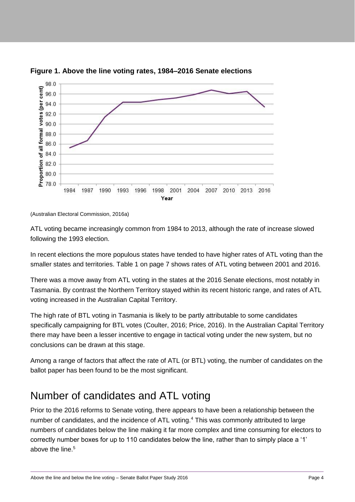

<span id="page-4-1"></span>

ATL voting became increasingly common from 1984 to 2013, although the rate of increase slowed following the 1993 election.

In recent elections the more populous states have tended to have higher rates of ATL voting than the smaller states and territories. [Table 1](#page-7-2) on page [7](#page-7-2) shows rates of ATL voting between 2001 and 2016.

There was a move away from ATL voting in the states at the 2016 Senate elections, most notably in Tasmania. By contrast the Northern Territory stayed within its recent historic range, and rates of ATL voting increased in the Australian Capital Territory.

The high rate of BTL voting in Tasmania is likely to be partly attributable to some candidates specifically campaigning for BTL votes (Coulter, 2016; Price, 2016). In the Australian Capital Territory there may have been a lesser incentive to engage in tactical voting under the new system, but no conclusions can be drawn at this stage.

Among a range of factors that affect the rate of ATL (or BTL) voting, the number of candidates on the ballot paper has been found to be the most significant.

### <span id="page-4-0"></span>Number of candidates and ATL voting

Prior to the 2016 reforms to Senate voting, there appears to have been a relationship between the number of candidates, and the incidence of ATL voting.<sup>4</sup> This was commonly attributed to large numbers of candidates below the line making it far more complex and time consuming for electors to correctly number boxes for up to 110 candidates below the line, rather than to simply place a '1' above the line.<sup>5</sup>

<sup>(</sup>Australian Electoral Commission, 2016a)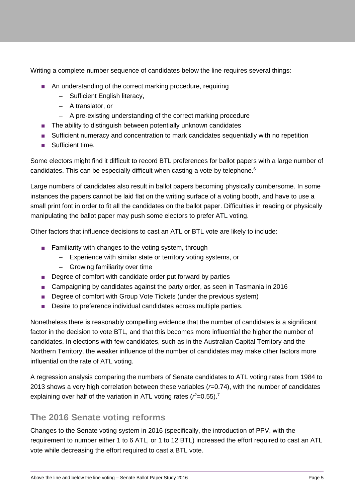Writing a complete number sequence of candidates below the line requires several things:

- An understanding of the correct marking procedure, requiring
	- Sufficient English literacy,
	- A translator, or
	- A pre-existing understanding of the correct marking procedure
- The ability to distinguish between potentially unknown candidates
- Sufficient numeracy and concentration to mark candidates sequentially with no repetition
- Sufficient time.

Some electors might find it difficult to record BTL preferences for ballot papers with a large number of candidates. This can be especially difficult when casting a vote by telephone.<sup>6</sup>

Large numbers of candidates also result in ballot papers becoming physically cumbersome. In some instances the papers cannot be laid flat on the writing surface of a voting booth, and have to use a small print font in order to fit all the candidates on the ballot paper. Difficulties in reading or physically manipulating the ballot paper may push some electors to prefer ATL voting.

Other factors that influence decisions to cast an ATL or BTL vote are likely to include:

- Familiarity with changes to the voting system, through
	- Experience with similar state or territory voting systems, or
	- Growing familiarity over time
- Degree of comfort with candidate order put forward by parties
- Campaigning by candidates against the party order, as seen in Tasmania in 2016
- Degree of comfort with Group Vote Tickets (under the previous system)
- Desire to preference individual candidates across multiple parties.

Nonetheless there is reasonably compelling evidence that the number of candidates is a significant factor in the decision to vote BTL, and that this becomes more influential the higher the number of candidates. In elections with few candidates, such as in the Australian Capital Territory and the Northern Territory, the weaker influence of the number of candidates may make other factors more influential on the rate of ATL voting.

A regression analysis comparing the numbers of Senate candidates to ATL voting rates from 1984 to 2013 shows a very high correlation between these variables (*r*=0.74), with the number of candidates explaining over half of the variation in ATL voting rates  $(r^2=0.55)$ .<sup>7</sup>

#### <span id="page-5-0"></span>**The 2016 Senate voting reforms**

Changes to the Senate voting system in 2016 (specifically, the introduction of PPV, with the requirement to number either 1 to 6 ATL, or 1 to 12 BTL) increased the effort required to cast an ATL vote while decreasing the effort required to cast a BTL vote.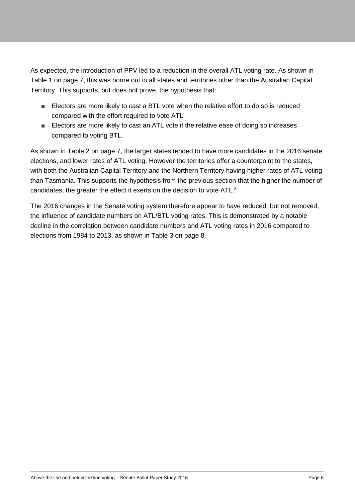As expected, the introduction of PPV led to a reduction in the overall ATL voting rate. As shown in [Table 1](#page-7-2) on page [7,](#page-7-2) this was borne out in all states and territories other than the Australian Capital Territory. This supports, but does not prove, the hypothesis that:

- Electors are more likely to cast a BTL vote when the relative effort to do so is reduced compared with the effort required to vote ATL
- Electors are more likely to cast an ATL vote if the relative ease of doing so increases compared to voting BTL.

As shown in [Table 2](#page-7-3) on page [7,](#page-7-3) the larger states tended to have more candidates in the 2016 senate elections, and lower rates of ATL voting. However the territories offer a counterpoint to the states, with both the Australian Capital Territory and the Northern Territory having higher rates of ATL voting than Tasmania. This supports the hypothesis from the previous section that the higher the number of candidates, the greater the effect it exerts on the decision to vote ATL.<sup>8</sup>

The 2016 changes in the Senate voting system therefore appear to have reduced, but not removed, the influence of candidate numbers on ATL/BTL voting rates. This is demonstrated by a notable decline in the correlation between candidate numbers and ATL voting rates in 2016 compared to elections from 1984 to 2013, as shown in [Table 3](#page-8-0) on page [8.](#page-8-0)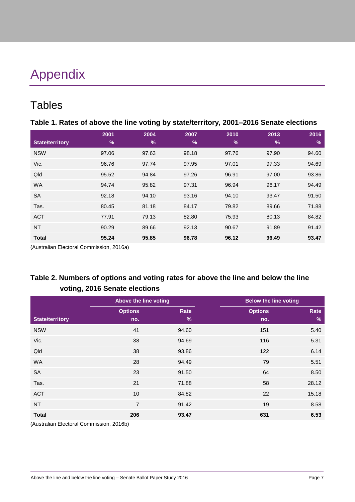# <span id="page-7-0"></span>Appendix

## <span id="page-7-1"></span>**Tables**

<span id="page-7-2"></span>

| Table 1. Rates of above the line voting by state/territory, 2001-2016 Senate elections |  |  |
|----------------------------------------------------------------------------------------|--|--|
|                                                                                        |  |  |

|                        | 2001  | 2004          | 2007  | 2010          | 2013  | 2016          |
|------------------------|-------|---------------|-------|---------------|-------|---------------|
| <b>State/territory</b> | %     | $\frac{9}{6}$ | $\%$  | $\frac{9}{6}$ | $\%$  | $\frac{9}{6}$ |
| <b>NSW</b>             | 97.06 | 97.63         | 98.18 | 97.76         | 97.90 | 94.60         |
| Vic.                   | 96.76 | 97.74         | 97.95 | 97.01         | 97.33 | 94.69         |
| Qld                    | 95.52 | 94.84         | 97.26 | 96.91         | 97.00 | 93.86         |
| <b>WA</b>              | 94.74 | 95.82         | 97.31 | 96.94         | 96.17 | 94.49         |
| <b>SA</b>              | 92.18 | 94.10         | 93.16 | 94.10         | 93.47 | 91.50         |
| Tas.                   | 80.45 | 81.18         | 84.17 | 79.82         | 89.66 | 71.88         |
| <b>ACT</b>             | 77.91 | 79.13         | 82.80 | 75.93         | 80.13 | 84.82         |
| <b>NT</b>              | 90.29 | 89.66         | 92.13 | 90.67         | 91.89 | 91.42         |
| <b>Total</b>           | 95.24 | 95.85         | 96.78 | 96.12         | 96.49 | 93.47         |

(Australian Electoral Commission, 2016a)

#### <span id="page-7-3"></span>**Table 2. Numbers of options and voting rates for above the line and below the line voting, 2016 Senate elections**

|                        | Above the line voting |       |                | <b>Below the line voting</b> |
|------------------------|-----------------------|-------|----------------|------------------------------|
|                        | <b>Options</b>        | Rate  | <b>Options</b> | Rate                         |
| <b>State/territory</b> | no.                   | $\%$  | no.            | $\%$                         |
| <b>NSW</b>             | 41                    | 94.60 | 151            | 5.40                         |
| Vic.                   | 38                    | 94.69 | 116            | 5.31                         |
| Qld                    | 38                    | 93.86 | 122            | 6.14                         |
| <b>WA</b>              | 28                    | 94.49 | 79             | 5.51                         |
| <b>SA</b>              | 23                    | 91.50 | 64             | 8.50                         |
| Tas.                   | 21                    | 71.88 | 58             | 28.12                        |
| <b>ACT</b>             | 10                    | 84.82 | 22             | 15.18                        |
| <b>NT</b>              | $\overline{7}$        | 91.42 | 19             | 8.58                         |
| <b>Total</b>           | 206                   | 93.47 | 631            | 6.53                         |

(Australian Electoral Commission, 2016b)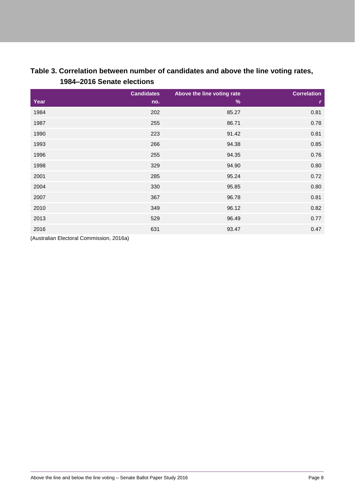|      | 1984-2016 Senate elections |                                             |                    |  |
|------|----------------------------|---------------------------------------------|--------------------|--|
| Year | <b>Candidates</b><br>no.   | Above the line voting rate<br>$\frac{9}{6}$ | <b>Correlation</b> |  |
| 1984 | 202                        | 85.27                                       | 0.81               |  |
| 1987 | 255                        | 86.71                                       | 0.78               |  |
| 1990 | 223                        | 91.42                                       | 0.81               |  |

 266 94.38 0.85 255 94.35 0.76 329 94.90 0.80 285 95.24 0.72  $330$   $95.85$   $0.80$  . The contract of the contract of the contract of the contract of the contract of the contract of the contract of the contract of the contract of the contract of the contract of the contract of the contract of the . The contract of the contract of the contract of the contract of the contract of the contract of the contract of the contract of the contract of the contract of the contract of the contract of the contract of the  $96.49$   $0.77$ 831 93.47 93.47 93.47 93.47 93.47 93.47 93.47 93.47 93.47 93.47 93.47 93.47 93.47 93.47 93.47 93.47 93.47 93.47 93.47 93.47 93.47 93.47 93.47 93.47 93.47 93.47 93.47 93.47 93.47 93.47 93.47 93.47 93.47 93.47 93.47

# <span id="page-8-0"></span>**Table 3. Correlation between number of candidates and above the line voting rates,**

(Australian Electoral Commission, 2016a)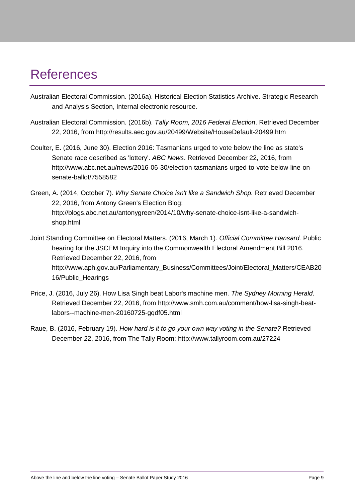## <span id="page-9-0"></span>References

- Australian Electoral Commission. (2016a). Historical Election Statistics Archive. Strategic Research and Analysis Section, Internal electronic resource.
- Australian Electoral Commission. (2016b). *Tally Room, 2016 Federal Election*. Retrieved December 22, 2016, from http://results.aec.gov.au/20499/Website/HouseDefault-20499.htm
- Coulter, E. (2016, June 30). Election 2016: Tasmanians urged to vote below the line as state's Senate race described as 'lottery'. *ABC News*. Retrieved December 22, 2016, from http://www.abc.net.au/news/2016-06-30/election-tasmanians-urged-to-vote-below-line-onsenate-ballot/7558582
- Green, A. (2014, October 7). *Why Senate Choice isn't like a Sandwich Shop.* Retrieved December 22, 2016, from Antony Green's Election Blog: http://blogs.abc.net.au/antonygreen/2014/10/why-senate-choice-isnt-like-a-sandwichshop.html
- Joint Standing Committee on Electoral Matters. (2016, March 1). *Official Committee Hansard.* Public hearing for the JSCEM Inquiry into the Commonwealth Electoral Amendment Bill 2016. Retrieved December 22, 2016, from http://www.aph.gov.au/Parliamentary\_Business/Committees/Joint/Electoral\_Matters/CEAB20 16/Public\_Hearings
- Price, J. (2016, July 26). How Lisa Singh beat Labor's machine men. *The Sydney Morning Herald*. Retrieved December 22, 2016, from http://www.smh.com.au/comment/how-lisa-singh-beatlabors--machine-men-20160725-gqdf05.html
- Raue, B. (2016, February 19). *How hard is it to go your own way voting in the Senate?* Retrieved December 22, 2016, from The Tally Room: http://www.tallyroom.com.au/27224